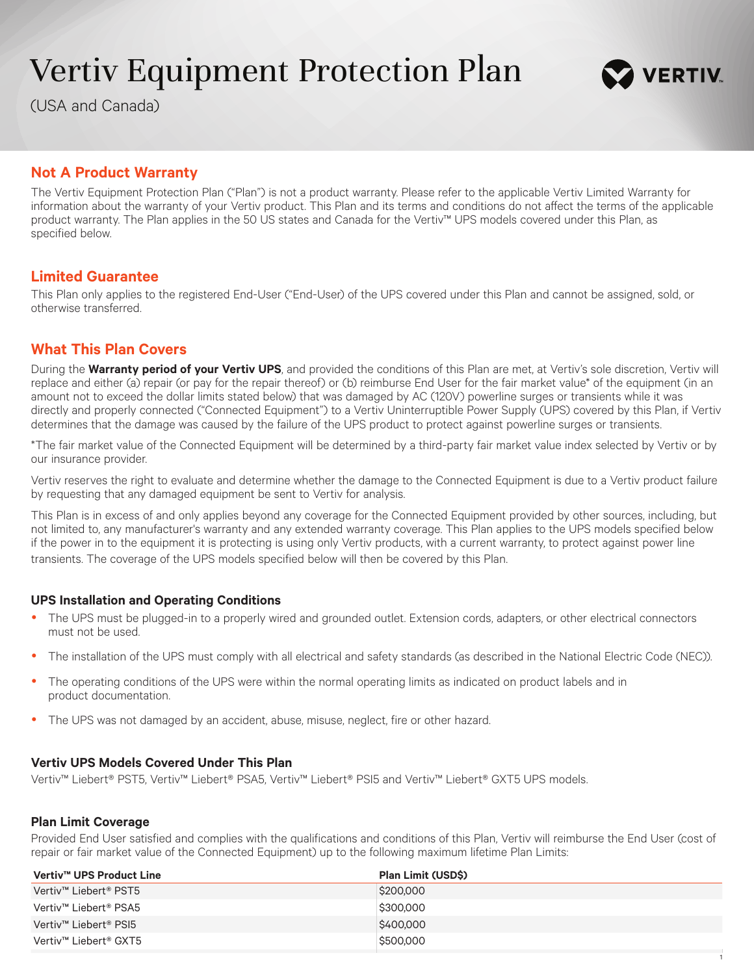# Vertiv Equipment Protection Plan

(USA and Canada)



# **Not A Product Warranty**

The Vertiv Equipment Protection Plan ("Plan") is not a product warranty. Please refer to the applicable Vertiv Limited Warranty for information about the warranty of your Vertiv product. This Plan and its terms and conditions do not affect the terms of the applicable product warranty. The Plan applies in the 50 US states and Canada for the Vertiv™ UPS models covered under this Plan, as specified below.

# **Limited Guarantee**

This Plan only applies to the registered End-User ("End-User) of the UPS covered under this Plan and cannot be assigned, sold, or otherwise transferred.

# **What This Plan Covers**

During the **Warranty period of your Vertiv UPS**, and provided the conditions of this Plan are met, at Vertiv's sole discretion, Vertiv will replace and either (a) repair (or pay for the repair thereof) or (b) reimburse End User for the fair market value\* of the equipment (in an amount not to exceed the dollar limits stated below) that was damaged by AC (120V) powerline surges or transients while it was directly and properly connected ("Connected Equipment") to a Vertiv Uninterruptible Power Supply (UPS) covered by this Plan, if Vertiv determines that the damage was caused by the failure of the UPS product to protect against powerline surges or transients.

\*The fair market value of the Connected Equipment will be determined by a third-party fair market value index selected by Vertiv or by our insurance provider.

Vertiv reserves the right to evaluate and determine whether the damage to the Connected Equipment is due to a Vertiv product failure by requesting that any damaged equipment be sent to Vertiv for analysis.

This Plan is in excess of and only applies beyond any coverage for the Connected Equipment provided by other sources, including, but not limited to, any manufacturer's warranty and any extended warranty coverage. This Plan applies to the UPS models specified below if the power in to the equipment it is protecting is using only Vertiv products, with a current warranty, to protect against power line transients. The coverage of the UPS models specified below will then be covered by this Plan.

#### **UPS Installation and Operating Conditions**

- The UPS must be plugged-in to a properly wired and grounded outlet. Extension cords, adapters, or other electrical connectors must not be used.
- The installation of the UPS must comply with all electrical and safety standards (as described in the National Electric Code (NEC)).
- The operating conditions of the UPS were within the normal operating limits as indicated on product labels and in product documentation.
- The UPS was not damaged by an accident, abuse, misuse, neglect, fire or other hazard.

#### **Vertiv UPS Models Covered Under This Plan**

Vertiv™ Liebert® PST5, Vertiv™ Liebert® PSA5, Vertiv™ Liebert® PSI5 and Vertiv™ Liebert® GXT5 UPS models.

#### **Plan Limit Coverage**

Provided End User satisfied and complies with the qualifications and conditions of this Plan, Vertiv will reimburse the End User (cost of repair or fair market value of the Connected Equipment) up to the following maximum lifetime Plan Limits:

| Vertiv™ UPS Product Line | <b>Plan Limit (USDS)</b> |
|--------------------------|--------------------------|
| Vertiv™ Liebert® PST5    | \$200,000                |
| Vertiv™ Liebert® PSA5    | \$300,000                |
| Vertiv™ Liebert® PSI5    | \$400,000                |
| Vertiv™ Liebert® GXT5    | \$500,000                |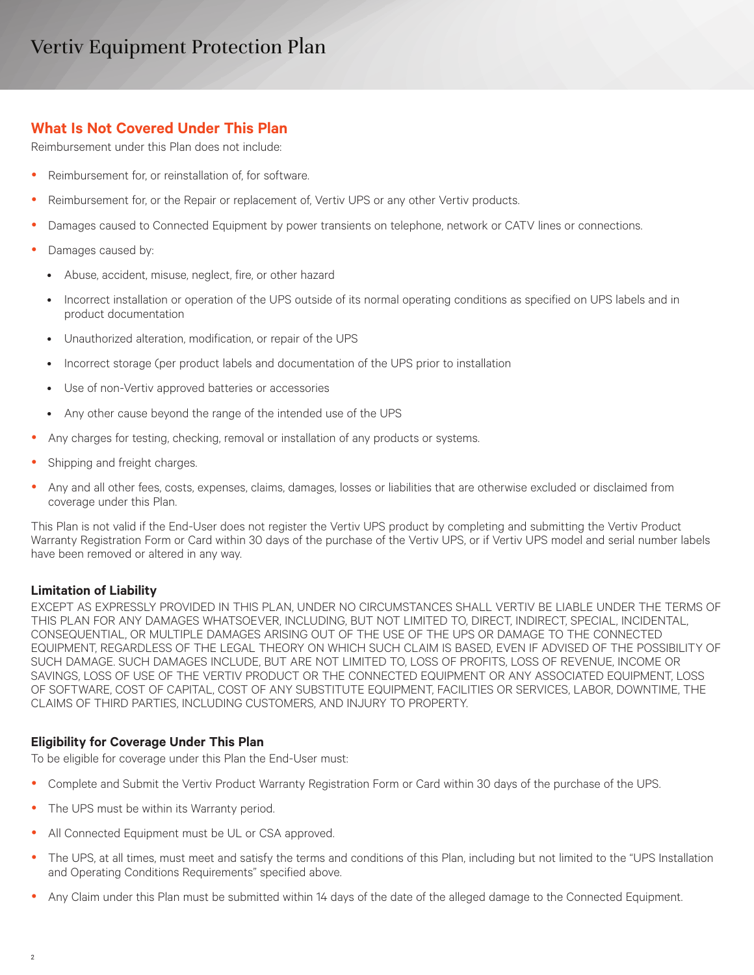# Vertiv Equipment Protection Plan

# **What Is Not Covered Under This Plan**

Reimbursement under this Plan does not include:

- Reimbursement for, or reinstallation of, for software.
- Reimbursement for, or the Repair or replacement of, Vertiv UPS or any other Vertiv products.
- Damages caused to Connected Equipment by power transients on telephone, network or CATV lines or connections.
- Damages caused by:
	- Abuse, accident, misuse, neglect, fire, or other hazard
	- Incorrect installation or operation of the UPS outside of its normal operating conditions as specified on UPS labels and in product documentation
	- Unauthorized alteration, modification, or repair of the UPS
	- Incorrect storage (per product labels and documentation of the UPS prior to installation
	- Use of non-Vertiv approved batteries or accessories
	- Any other cause beyond the range of the intended use of the UPS
- Any charges for testing, checking, removal or installation of any products or systems.
- Shipping and freight charges.
- Any and all other fees, costs, expenses, claims, damages, losses or liabilities that are otherwise excluded or disclaimed from coverage under this Plan.

This Plan is not valid if the End-User does not register the Vertiv UPS product by completing and submitting the Vertiv Product Warranty Registration Form or Card within 30 days of the purchase of the Vertiv UPS, or if Vertiv UPS model and serial number labels have been removed or altered in any way.

## **Limitation of Liability**

EXCEPT AS EXPRESSLY PROVIDED IN THIS PLAN, UNDER NO CIRCUMSTANCES SHALL VERTIV BE LIABLE UNDER THE TERMS OF THIS PLAN FOR ANY DAMAGES WHATSOEVER, INCLUDING, BUT NOT LIMITED TO, DIRECT, INDIRECT, SPECIAL, INCIDENTAL, CONSEQUENTIAL, OR MULTIPLE DAMAGES ARISING OUT OF THE USE OF THE UPS OR DAMAGE TO THE CONNECTED EQUIPMENT, REGARDLESS OF THE LEGAL THEORY ON WHICH SUCH CLAIM IS BASED, EVEN IF ADVISED OF THE POSSIBILITY OF SUCH DAMAGE. SUCH DAMAGES INCLUDE, BUT ARE NOT LIMITED TO, LOSS OF PROFITS, LOSS OF REVENUE, INCOME OR SAVINGS, LOSS OF USE OF THE VERTIV PRODUCT OR THE CONNECTED EQUIPMENT OR ANY ASSOCIATED EQUIPMENT, LOSS OF SOFTWARE, COST OF CAPITAL, COST OF ANY SUBSTITUTE EQUIPMENT, FACILITIES OR SERVICES, LABOR, DOWNTIME, THE CLAIMS OF THIRD PARTIES, INCLUDING CUSTOMERS, AND INJURY TO PROPERTY.

## **Eligibility for Coverage Under This Plan**

To be eligible for coverage under this Plan the End-User must:

- Complete and Submit the Vertiv Product Warranty Registration Form or Card within 30 days of the purchase of the UPS.
- The UPS must be within its Warranty period.
- All Connected Equipment must be UL or CSA approved.
- The UPS, at all times, must meet and satisfy the terms and conditions of this Plan, including but not limited to the "UPS Installation and Operating Conditions Requirements" specified above.
- Any Claim under this Plan must be submitted within 14 days of the date of the alleged damage to the Connected Equipment.